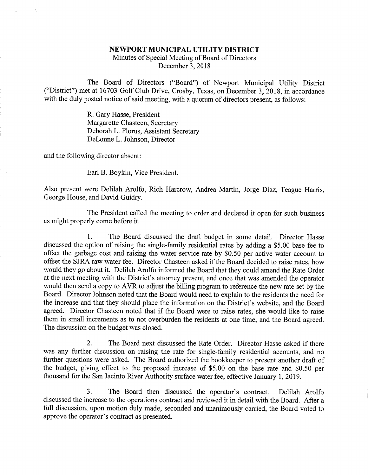## NEWPORT MUNICIPAL UTILITY DISTRICT

Minutes of Special Meeting of Board of Directors December 3,2018

The Board of Directors ("Board") of Newport Municipal Utility District ("District") met at 16703 Golf Club Drive, Crosby, Texas, on December 3, 2018, in accordance with the duly posted notice of said meeting, with a quorum of directors present, as follows:

> R. Gary Hasse, President Margarette Chasteen, Secretary Deborah L. Florus, Assistant Secretary DeLonne L. Johnson, Director

and the following director absent:

Earl B. Boykin, Vice President.

Also present were Delilah Arolfo, Rich Harcrow, Andrea Martin, Jorge Diaz, Teague Harris, George House, and David Guidry.

The President called the meeting to order and declared it open for such business as might properly come before it.

1. The Board discussed the draft budget in some detail. Director Hasse discussed the option of raising the single-family residential rates by adding a \$5.00 base fee to offset the garbage cost and raising the water service rate by \$0.50 per active water account to offset the SJRA raw water fee. Director Chasteen asked if the Board decided to raise rates, how would they go about it. Delilah Arolfo informed the Board that they could amend the Rate Order at the next meeting with the District's attorney present, and once that was amended the operator would then send a copy to AVR to adjust the billing program to reference the new rate set by the Board. Director Johnson noted that the Board would need to explain to the residents the need for the increase and that they should place the information on the District's website, and the Board agreed. Director Chasteen noted that if the Board were to raise rates, she would like to raise them in small increments as to not overburden the residents at one time, and the Board agreed. The discussion on the budget was closed.

2. The Board next discussed the Rate Order. Director Hasse asked if there was any further discussion on raising the rate for single-family residential accounts, and no further questions were asked. The Board authorized the bookkeeper to present another draft of the budget, giving effect to the proposed increase of \$5.00 on the base rate and \$0.50 per thousand for the San Jacinto River Authority surface water fee, effective January 1, 2019.

3. The Board then discussed the operator's contract. Delilah Arolfo discussed the increase to the operations contract and reviewed it in detail with the Board. After a full discussion, upon motion duly made, seconded and unanimously carried, the Board voted to approve the operator's contract as presented.